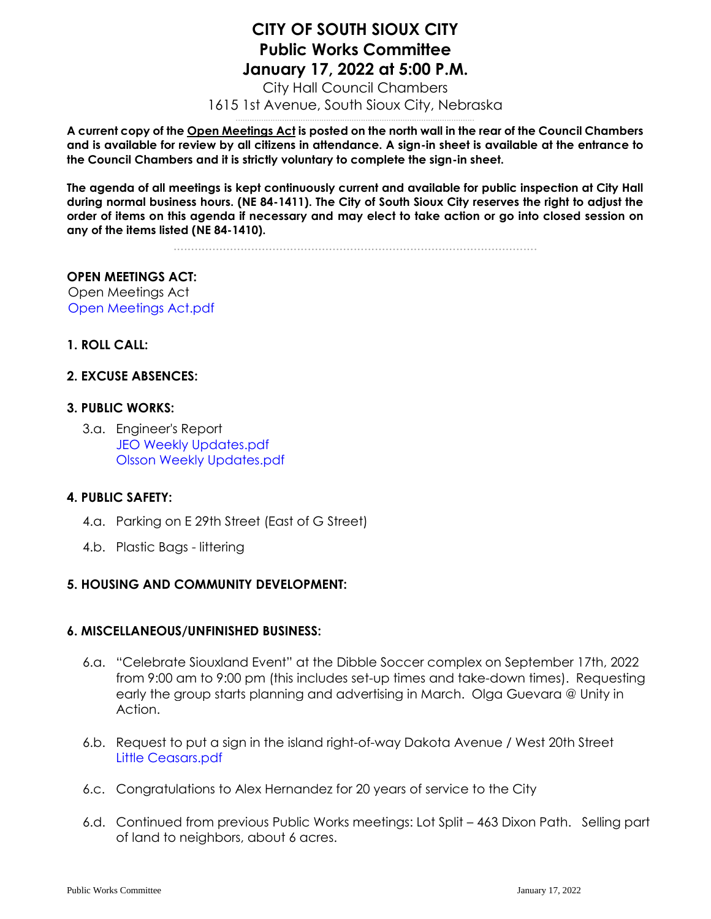# **CITY OF SOUTH SIOUX CITY Public Works Committee January 17, 2022 at 5:00 P.M.**

City Hall Council Chambers 1615 1st Avenue, South Sioux City, Nebraska .......................................................................................................

**A current copy of the Open Meetings Act is posted on the north wall in the rear of the Council Chambers and is available for review by all citizens in attendance. A sign-in sheet is available at the entrance to the Council Chambers and it is strictly voluntary to complete the sign-in sheet.**

**The agenda of all meetings is kept continuously current and available for public inspection at City Hall during normal business hours. (NE 84-1411). The City of South Sioux City reserves the right to adjust the order of items on this agenda if necessary and may elect to take action or go into closed session on any of the items listed (NE 84-1410).**

.......................................................................................................

## **OPEN MEETINGS ACT:**

Open Meetings Act [Open Meetings Act.pdf](https://legistarweb-production.s3.amazonaws.com/uploads/attachment/pdf/1208946/Open_Meetings_Act.pdf)

## **1. ROLL CALL:**

#### **2. EXCUSE ABSENCES:**

#### **3. PUBLIC WORKS:**

3.a. Engineer's Report [JEO Weekly Updates.pdf](https://legistarweb-production.s3.amazonaws.com/uploads/attachment/pdf/1208957/JEO_Weekly_Updates.pdf) [Olsson Weekly Updates.pdf](https://legistarweb-production.s3.amazonaws.com/uploads/attachment/pdf/1208958/Olsson_Weekly_Updates.pdf)

#### **4. PUBLIC SAFETY:**

- 4.a. Parking on E 29th Street (East of G Street)
- 4.b. Plastic Bags littering

#### **5. HOUSING AND COMMUNITY DEVELOPMENT:**

#### **6. MISCELLANEOUS/UNFINISHED BUSINESS:**

- 6.a. "Celebrate Siouxland Event" at the Dibble Soccer complex on September 17th, 2022 from 9:00 am to 9:00 pm (this includes set-up times and take-down times). Requesting early the group starts planning and advertising in March. Olga Guevara @ Unity in Action.
- 6.b. Request to put a sign in the island right-of-way Dakota Avenue / West 20th Street [Little Ceasars.pdf](https://legistarweb-production.s3.amazonaws.com/uploads/attachment/pdf/1209024/Little_Ceasars.pdf)
- 6.c. Congratulations to Alex Hernandez for 20 years of service to the City
- 6.d. Continued from previous Public Works meetings: Lot Split 463 Dixon Path. Selling part of land to neighbors, about 6 acres.